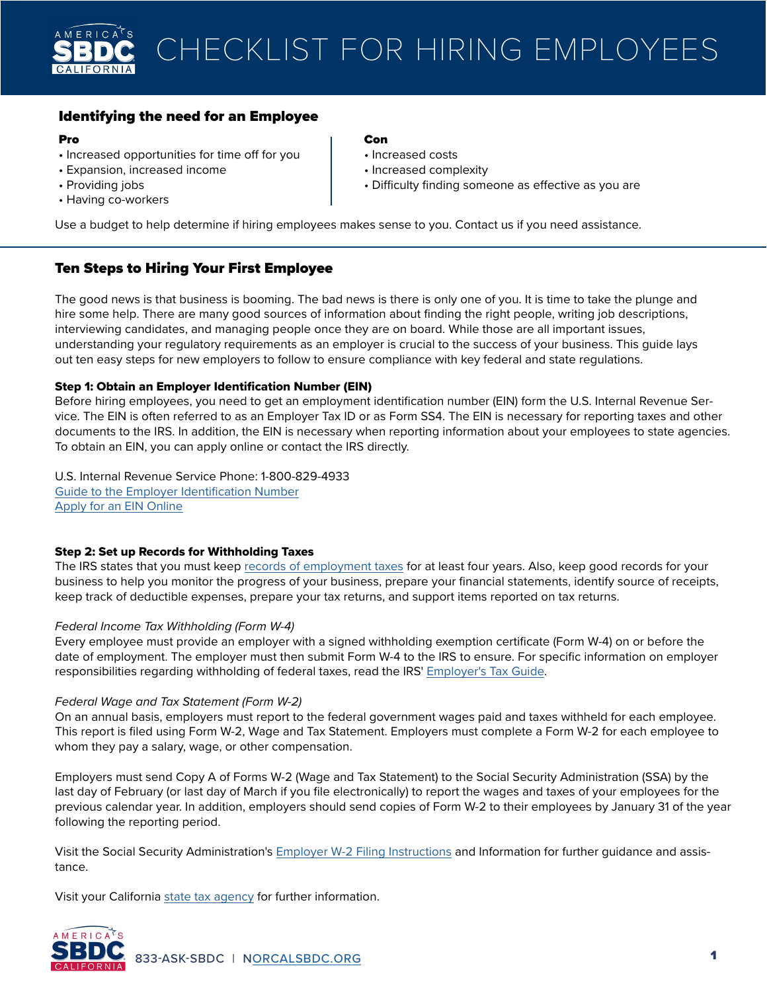

# Identifying the need for an Employee

### Pro

- Increased opportunities for time off for you
- Expansion, increased income
- Providing jobs
- Having co-workers

# **Con**

- Increased costs
- Increased complexity
- Difficulty finding someone as effective as you are

Use a budget to help determine if hiring employees makes sense to you. Contact us if you need assistance.

# Ten Steps to Hiring Your First Employee

The good news is that business is booming. The bad news is there is only one of you. It is time to take the plunge and hire some help. There are many good sources of information about finding the right people, writing job descriptions, interviewing candidates, and managing people once they are on board. While those are all important issues, understanding your regulatory requirements as an employer is crucial to the success of your business. This guide lays out ten easy steps for new employers to follow to ensure compliance with key federal and state regulations.

## Step 1: Obtain an Employer Identification Number (EIN)

Before hiring employees, you need to get an employment identification number (EIN) form the U.S. Internal Revenue Service. The EIN is often referred to as an Employer Tax ID or as Form SS4. The EIN is necessary for reporting taxes and other documents to the IRS. In addition, the EIN is necessary when reporting information about your employees to state agencies. To obtain an EIN, you can apply online or contact the IRS directly.

U.S. Internal Revenue Service Phone: 1-800-829-4933 [Guide to the Employer Identification Number](https://www.irs.gov/businesses/small-businesses-self-employed/employer-id-numbers) [Apply for an EIN Online](https://www.irs.gov/businesses/small-businesses-self-employed/apply-for-an-employer-identification-number-ein-online)

## Step 2: Set up Records for Withholding Taxes

The IRS states that you must keep [records of employment taxes](https://www.irs.gov/businesses/small-businesses-self-employed/employment-tax-recordkeeping) for at least four years. Also, keep good records for your business to help you monitor the progress of your business, prepare your financial statements, identify source of receipts, keep track of deductible expenses, prepare your tax returns, and support items reported on tax returns.

## *Federal Income Tax Withholding (Form W-4)*

Every employee must provide an employer with a signed withholding exemption certificate (Form W-4) on or before the date of employment. The employer must then submit Form W-4 to the IRS to ensure. For specific information on employer responsibilities regarding withholding of federal taxes, read the IRS' [Employer's Tax Guide.](https://www.irs.gov/pub/irs-pdf/p15.pdf?cm_sp=ExternalLink-_-Federal-_-Treasury)

## *Federal Wage and Tax Statement (Form W-2)*

On an annual basis, employers must report to the federal government wages paid and taxes withheld for each employee. This report is filed using Form W-2, Wage and Tax Statement. Employers must complete a Form W-2 for each employee to whom they pay a salary, wage, or other compensation.

Employers must send Copy A of Forms W-2 (Wage and Tax Statement) to the Social Security Administration (SSA) by the last day of February (or last day of March if you file electronically) to report the wages and taxes of your employees for the previous calendar year. In addition, employers should send copies of Form W-2 to their employees by January 31 of the year following the reporting period.

Visit the Social Security Administration's [Employer W-2 Filing Instructions](https://www.ssa.gov/employer/) and Information for further guidance and assistance.

Visit your California [state tax agency](http://taxes.ca.gov/) for further information.

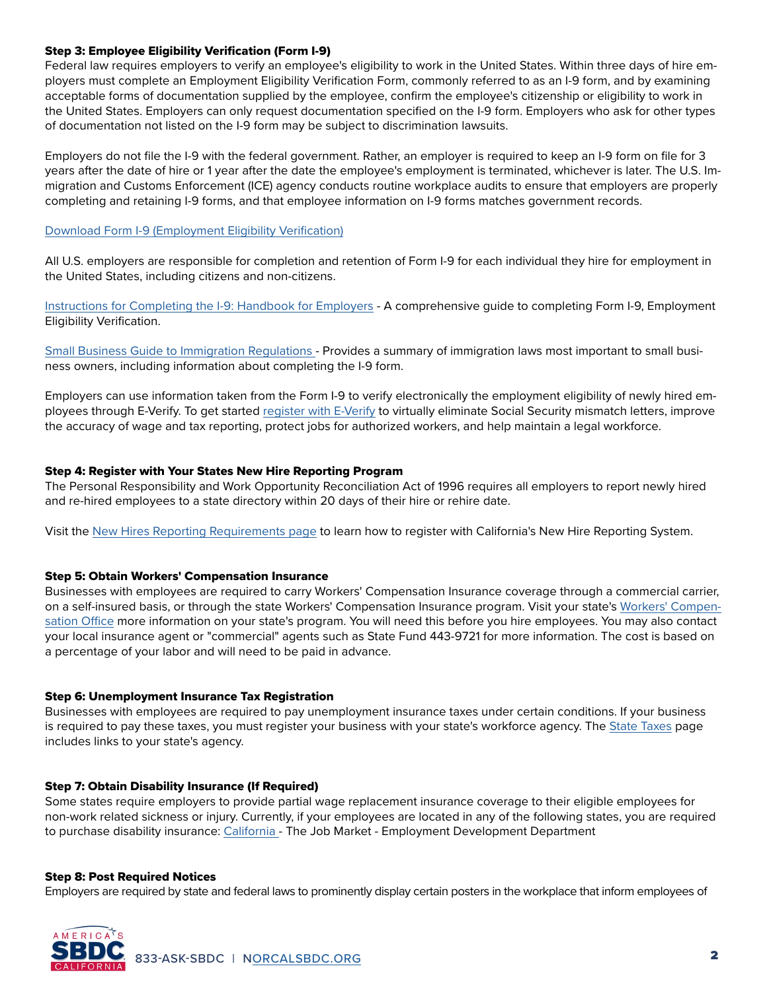## Step 3: Employee Eligibility Verification (Form I-9)

Federal law requires employers to verify an employee's eligibility to work in the United States. Within three days of hire employers must complete an Employment Eligibility Verification Form, commonly referred to as an I-9 form, and by examining acceptable forms of documentation supplied by the employee, confirm the employee's citizenship or eligibility to work in the United States. Employers can only request documentation specified on the I-9 form. Employers who ask for other types of documentation not listed on the I-9 form may be subject to discrimination lawsuits.

Employers do not file the I-9 with the federal government. Rather, an employer is required to keep an I-9 form on file for 3 years after the date of hire or 1 year after the date the employee's employment is terminated, whichever is later. The U.S. Immigration and Customs Enforcement (ICE) agency conducts routine workplace audits to ensure that employers are properly completing and retaining I-9 forms, and that employee information on I-9 forms matches government records.

[Download Form I-9 \(Employment Eligibility Verification\)](https://www.uscis.gov/i-9)

All U.S. employers are responsible for completion and retention of Form I-9 for each individual they hire for employment in the United States, including citizens and non-citizens.

[Instructions for Completing the I-9: Handbook for Employers](https://www.uscis.gov/i-9-central/handbook-for-employers-m-274) - A comprehensive guide to completing Form I-9, Employment Eligibility Verification.

[Small Business Guide to Immigration Regulations](https://www.uschamber.com/sites/default/files/documents/files/021773_labr_immigration_handbook_opt.pdf) - Provides a summary of immigration laws most important to small business owners, including information about completing the I-9 form.

Employers can use information taken from the Form I-9 to verify electronically the employment eligibility of newly hired employees through E-Verify. To get started [register with E-Verify](https://www.e-verify.gov/) to virtually eliminate Social Security mismatch letters, improve the accuracy of wage and tax reporting, protect jobs for authorized workers, and help maintain a legal workforce.

# Step 4: Register with Your States New Hire Reporting Program

The Personal Responsibility and Work Opportunity Reconciliation Act of 1996 requires all employers to report newly hired and re-hired employees to a state directory within 20 days of their hire or rehire date.

Visit the [New Hires Reporting Requirements page](https://www.edd.ca.gov/payroll_taxes/New_Hire_Reporting.htm) to learn how to register with California's New Hire Reporting System.

## Step 5: Obtain Workers' Compensation Insurance

Businesses with employees are required to carry Workers' Compensation Insurance coverage through a commercial carrier, on a self-insured basis, or through the state Workers' Compensation Insurance program. Visit your state's [Workers' Compen](https://www.dir.ca.gov/dwc/faqs.html)[sation Office](https://www.dir.ca.gov/dwc/faqs.html) more information on your state's program. You will need this before you hire employees. You may also contact your local insurance agent or "commercial" agents such as State Fund 443-9721 for more information. The cost is based on a percentage of your labor and will need to be paid in advance.

## Step 6: Unemployment Insurance Tax Registration

Businesses with employees are required to pay unemployment insurance taxes under certain conditions. If your business is required to pay these taxes, you must register your business with your state's workforce agency. The [State Taxes](https://www.usa.gov/business?source=busa) page includes links to your state's agency.

## Step 7: Obtain Disability Insurance (If Required)

Some states require employers to provide partial wage replacement insurance coverage to their eligible employees for non-work related sickness or injury. Currently, if your employees are located in any of the following states, you are required to purchase disability insurance: [California -](https://www.edd.ca.gov/Disability/Employers_and_Self-Employed_Information.htm) The Job Market - Employment Development Department

## Step 8: Post Required Notices

AMERICA

Employers are required by state and federal laws to prominently display certain posters in the workplace that inform employees of

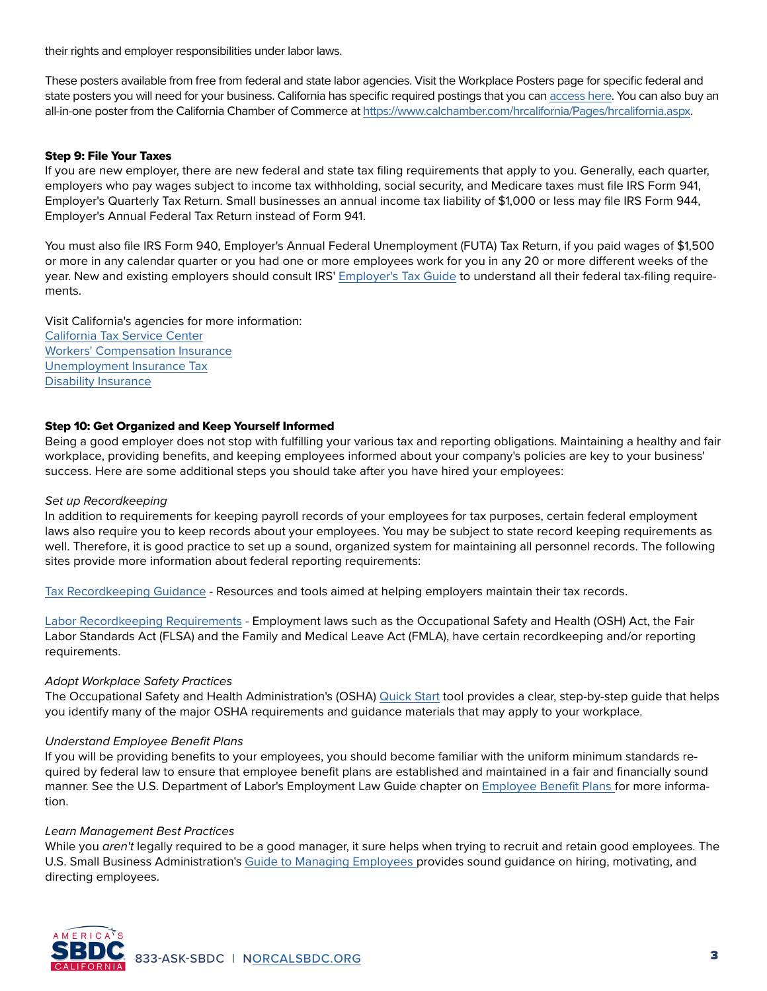their rights and employer responsibilities under labor laws.

These posters available from free from federal and state labor agencies. Visit the Workplace Posters page for specific federal and state posters you will need for your business. California has specific required postings that you can [access here](https://www.dir.ca.gov/wpnodb.html). You can also buy an all-in-one poster from the California Chamber of Commerce at<https://www.calchamber.com/hrcalifornia/Pages/hrcalifornia.aspx>.

### Step 9: File Your Taxes

If you are new employer, there are new federal and state tax filing requirements that apply to you. Generally, each quarter, employers who pay wages subject to income tax withholding, social security, and Medicare taxes must file IRS Form 941, Employer's Quarterly Tax Return. Small businesses an annual income tax liability of \$1,000 or less may file IRS Form 944, Employer's Annual Federal Tax Return instead of Form 941.

You must also file IRS Form 940, Employer's Annual Federal Unemployment (FUTA) Tax Return, if you paid wages of \$1,500 or more in any calendar quarter or you had one or more employees work for you in any 20 or more different weeks of the year. New and existing employers should consult IRS' [Employer's Tax Guide](https://www.irs.gov/pub/irs-pdf/p15.pdf) to understand all their federal tax-filing requirements.

Visit California's agencies for more information: [California Tax Service Center](http://taxes.ca.gov/) [Workers' Compensation Insurance](https://www.dir.ca.gov/dwc/faqs.html) [Unemployment Insurance Tax](https://www.edd.ca.gov/Unemployment/default.htm) [Disability Insurance](https://www.edd.ca.gov/Disability/Employers_and_Self-Employed_Information.htm)

### Step 10: Get Organized and Keep Yourself Informed

Being a good employer does not stop with fulfilling your various tax and reporting obligations. Maintaining a healthy and fair workplace, providing benefits, and keeping employees informed about your company's policies are key to your business' success. Here are some additional steps you should take after you have hired your employees:

#### *Set up Recordkeeping*

In addition to requirements for keeping payroll records of your employees for tax purposes, certain federal employment laws also require you to keep records about your employees. You may be subject to state record keeping requirements as well. Therefore, it is good practice to set up a sound, organized system for maintaining all personnel records. The following sites provide more information about federal reporting requirements:

[Tax Recordkeeping Guidance](https://www.irs.gov/businesses/small-businesses-self-employed/recordkeeping) - Resources and tools aimed at helping employers maintain their tax records.

[Labor Recordkeeping Requirements](https://www.dol.gov/agencies/whd/fact-sheets/21-flsa-recordkeeping) - Employment laws such as the Occupational Safety and Health (OSH) Act, the Fair Labor Standards Act (FLSA) and the Family and Medical Leave Act (FMLA), have certain recordkeeping and/or reporting requirements.

## *Adopt Workplace Safety Practices*

The Occupational Safety and Health Administration's (OSHA) [Quick Start](https://www.osha.gov/complianceassistance/quickstarts) tool provides a clear, step-by-step guide that helps you identify many of the major OSHA requirements and guidance materials that may apply to your workplace.

#### *Understand Employee Benefit Plans*

If you will be providing benefits to your employees, you should become familiar with the uniform minimum standards required by federal law to ensure that employee benefit plans are established and maintained in a fair and financially sound manner. See the U.S. Department of Labor's Employment Law Guide chapter on [Employee Benefit Plans](https://webapps.dol.gov/elaws/elg/erisa.htm) for more information.

#### *Learn Management Best Practices*

While you *aren't* legally required to be a good manager, it sure helps when trying to recruit and retain good employees. The U.S. Small Business Administration's [Guide to Managing Employees p](https://www.sba.gov/business-guide)rovides sound guidance on hiring, motivating, and directing employees.